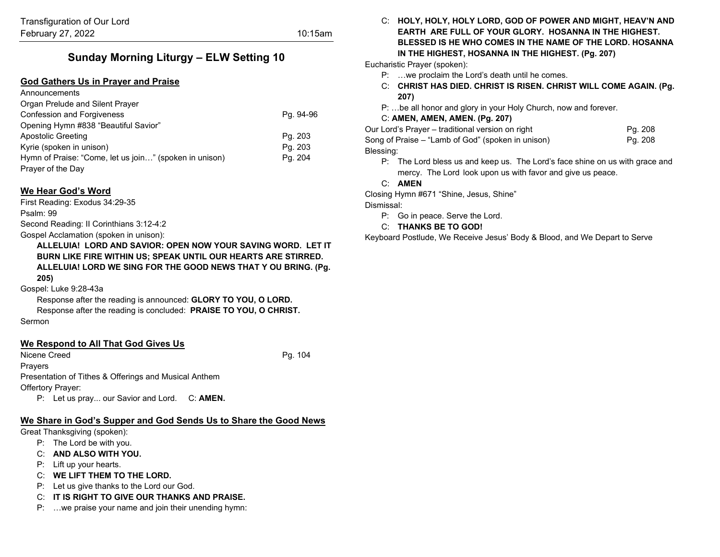# **Sunday Morning Liturgy – ELW Setting 10**

#### **God Gathers Us in Prayer and Praise**

| Announcements                                          |           |
|--------------------------------------------------------|-----------|
| Organ Prelude and Silent Prayer                        |           |
| <b>Confession and Forgiveness</b>                      | Pg. 94-96 |
| Opening Hymn #838 "Beautiful Savior"                   |           |
| Apostolic Greeting                                     | Pg. 203   |
| Kyrie (spoken in unison)                               | Pg. 203   |
| Hymn of Praise: "Come, let us join" (spoken in unison) | Pg. 204   |
| Prayer of the Day                                      |           |
|                                                        |           |

#### **We Hear God's Word**

First Reading: Exodus 34:29-35

Psalm: 99

Second Reading: II Corinthians 3:12-4:2

Gospel Acclamation (spoken in unison):

**ALLELUIA! LORD AND SAVIOR: OPEN NOW YOUR SAVING WORD. LET IT BURN LIKE FIRE WITHIN US; SPEAK UNTIL OUR HEARTS ARE STIRRED. ALLELUIA! LORD WE SING FOR THE GOOD NEWS THAT Y OU BRING. (Pg. 205)**

#### Gospel: Luke 9:28-43a

Response after the reading is announced: **GLORY TO YOU, O LORD.** Response after the reading is concluded: **PRAISE TO YOU, O CHRIST.** Sermon

#### **We Respond to All That God Gives Us**

Nicene Creed Pg. 104 **Pravers** Presentation of Tithes & Offerings and Musical Anthem Offertory Prayer:

P: Let us pray... our Savior and Lord. C: **AMEN.**

# **We Share in God's Supper and God Sends Us to Share the Good News**

Great Thanksgiving (spoken):

- P: The Lord be with you.
- C: **AND ALSO WITH YOU.**
- P: Lift up your hearts.
- C: **WE LIFT THEM TO THE LORD.**
- P: Let us give thanks to the Lord our God.
- C: **IT IS RIGHT TO GIVE OUR THANKS AND PRAISE.**
- P: …we praise your name and join their unending hymn:

C: **HOLY, HOLY, HOLY LORD, GOD OF POWER AND MIGHT, HEAV'N AND EARTH ARE FULL OF YOUR GLORY. HOSANNA IN THE HIGHEST. BLESSED IS HE WHO COMES IN THE NAME OF THE LORD. HOSANNA IN THE HIGHEST, HOSANNA IN THE HIGHEST. (Pg. 207)**

Eucharistic Prayer (spoken):

- P: …we proclaim the Lord's death until he comes.
- C: **CHRIST HAS DIED. CHRIST IS RISEN. CHRIST WILL COME AGAIN. (Pg. 207)**
- P: …be all honor and glory in your Holy Church, now and forever.

# C: **AMEN, AMEN, AMEN. (Pg. 207)**

| Our Lord's Prayer – traditional version on right   | Pg. 208 |
|----------------------------------------------------|---------|
| Song of Praise – "Lamb of God" (spoken in unison)_ | Pg. 208 |
| Blessing:                                          |         |

- P: The Lord bless us and keep us. The Lord's face shine on us with grace and mercy. The Lord look upon us with favor and give us peace.
- C: **AMEN**

Closing Hymn #671 "Shine, Jesus, Shine"

Dismissal:

- P: Go in peace. Serve the Lord.
- C: **THANKS BE TO GOD!**

Keyboard Postlude, We Receive Jesus' Body & Blood, and We Depart to Serve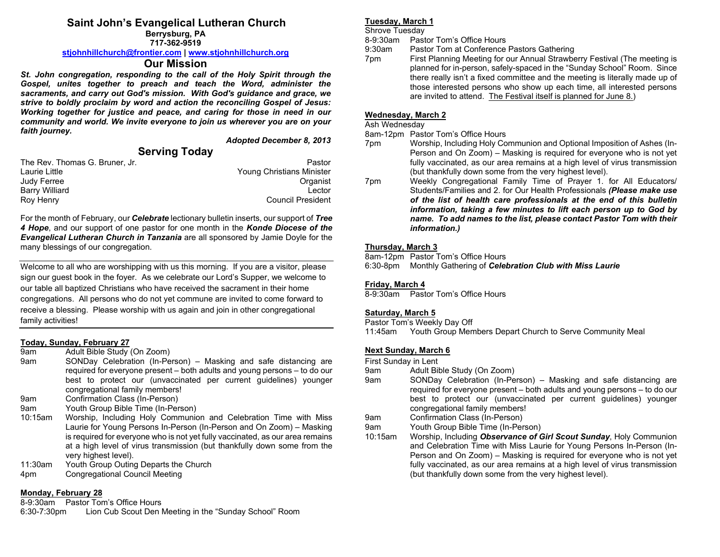# **Saint John's Evangelical Lutheran Church**

**Berrysburg, PA 717-362-9519**

#### **[stjohnhillchurch@frontier.com](mailto:stjohnhillchurch@frontier.com) | [www.stjohnhillchurch.org](http://www.stjohnhillchurch.org/)**

## **Our Mission**

*St. John congregation, responding to the call of the Holy Spirit through the Gospel, unites together to preach and teach the Word, administer the sacraments, and carry out God's mission. With God's guidance and grace, we strive to boldly proclaim by word and action the reconciling Gospel of Jesus: Working together for justice and peace, and caring for those in need in our community and world. We invite everyone to join us wherever you are on your faith journey.*

*Adopted December 8, 2013*

# **Serving Today**

| The Rev. Thomas G. Bruner, Jr. | Pastor                           |
|--------------------------------|----------------------------------|
| Laurie Little                  | <b>Young Christians Minister</b> |
| Judy Ferree                    | Organist                         |
| <b>Barry Williard</b>          | I ector                          |
| Roy Henry                      | <b>Council President</b>         |

For the month of February, our *Celebrate* lectionary bulletin inserts, our support of *Tree 4 Hope*, and our support of one pastor for one month in the *Konde Diocese of the Evangelical Lutheran Church in Tanzania* are all sponsored by Jamie Doyle for the many blessings of our congregation.

Welcome to all who are worshipping with us this morning. If you are a visitor, please sign our guest book in the foyer. As we celebrate our Lord's Supper, we welcome to our table all baptized Christians who have received the sacrament in their home congregations. All persons who do not yet commune are invited to come forward to receive a blessing. Please worship with us again and join in other congregational family activities!

# **Today, Sunday, February 27**

- Adult Bible Study (On Zoom)
- 9am SONDay Celebration (In-Person) Masking and safe distancing are required for everyone present – both adults and young persons – to do our best to protect our (unvaccinated per current guidelines) younger congregational family members!
- 9am Confirmation Class (In-Person)
- 9am Youth Group Bible Time (In-Person)
- 10:15am Worship, Including Holy Communion and Celebration Time with Miss Laurie for Young Persons In-Person (In-Person and On Zoom) – Masking is required for everyone who is not yet fully vaccinated, as our area remains at a high level of virus transmission (but thankfully down some from the very highest level).
- 11:30am Youth Group Outing Departs the Church
- 4pm Congregational Council Meeting

#### **Monday, February 28**

8-9:30am Pastor Tom's Office Hours

6:30-7:30pm Lion Cub Scout Den Meeting in the "Sunday School" Room

#### **Tuesday, March 1**

Shrove Tuesday

8-9:30am Pastor Tom's Office Hours

- 9:30am Pastor Tom at Conference Pastors Gathering
- 7pm First Planning Meeting for our Annual Strawberry Festival (The meeting is planned for in-person, safely-spaced in the "Sunday School" Room. Since there really isn't a fixed committee and the meeting is literally made up of those interested persons who show up each time, all interested persons are invited to attend. The Festival itself is planned for June 8.)

## **Wednesday, March 2**

Ash Wednesday

8am-12pm Pastor Tom's Office Hours

- 7pm Worship, Including Holy Communion and Optional Imposition of Ashes (In-Person and On Zoom) – Masking is required for everyone who is not yet fully vaccinated, as our area remains at a high level of virus transmission (but thankfully down some from the very highest level).
- 7pm Weekly Congregational Family Time of Prayer 1. for All Educators/ Students/Families and 2. for Our Health Professionals *(Please make use of the list of health care professionals at the end of this bulletin information, taking a few minutes to lift each person up to God by name. To add names to the list, please contact Pastor Tom with their information.)*

### **Thursday, March 3**

8am-12pm Pastor Tom's Office Hours<br>6:30-8pm Monthly Gathering of Celel

**Monthly Gathering of Celebration Club with Miss Laurie** 

#### **Friday, March 4**

8-9:30am Pastor Tom's Office Hours

#### **Saturday, March 5**

Pastor Tom's Weekly Day Off 11:45am Youth Group Members Depart Church to Serve Community Meal

## **Next Sunday, March 6**

First Sunday in Lent

- 9am Adult Bible Study (On Zoom)
- 9am SONDay Celebration (In-Person) Masking and safe distancing are required for everyone present – both adults and young persons – to do our best to protect our (unvaccinated per current guidelines) younger congregational family members!

9am Confirmation Class (In-Person)

9am Youth Group Bible Time (In-Person)

10:15am Worship, Including *Observance of Girl Scout Sunday*, Holy Communion and Celebration Time with Miss Laurie for Young Persons In-Person (In-Person and On Zoom) – Masking is required for everyone who is not yet fully vaccinated, as our area remains at a high level of virus transmission (but thankfully down some from the very highest level).